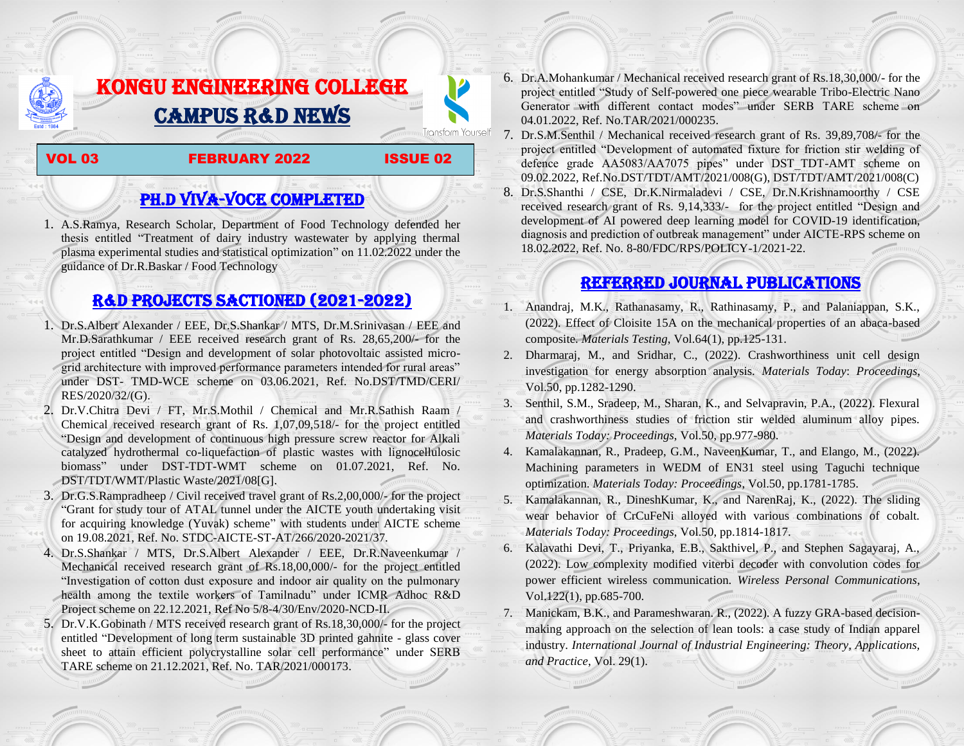# KONGU ENGINEERING COLLEGE CAMPUS R&D NEWS

### VOL 03 FEBRUARY 2022 ISSUE 02

**Transform Yourself** 

## PH.D VIVA-VOCE COMPLETED

1. A.S.Ramya, Research Scholar, Department of Food Technology defended her thesis entitled "Treatment of dairy industry wastewater by applying thermal plasma experimental studies and statistical optimization" on 11.02.2022 under the guidance of Dr.R.Baskar / Food Technology

## R&D PROJECTS SACTIONED (2021-2022)

- 1. Dr.S.Albert Alexander / EEE, Dr.S.Shankar / MTS, Dr.M.Srinivasan / EEE and Mr.D.Sarathkumar / EEE received research grant of Rs. 28,65,200/- for the project entitled "Design and development of solar photovoltaic assisted microgrid architecture with improved performance parameters intended for rural areas" under DST- TMD-WCE scheme on 03.06.2021, Ref. No.DST/TMD/CERI/ RES/2020/32/(G).
- 2. Dr.V.Chitra Devi / FT, Mr.S.Mothil / Chemical and Mr.R.Sathish Raam / Chemical received research grant of Rs. 1,07,09,518/- for the project entitled "Design and development of continuous high pressure screw reactor for Alkali catalyzed hydrothermal co-liquefaction of plastic wastes with lignocellulosic biomass" under DST-TDT-WMT scheme on 01.07.2021, Ref. No. DST/TDT/WMT/Plastic Waste/2021/08[G].
- 3. Dr.G.S.Rampradheep / Civil received travel grant of Rs.2,00,000/- for the project "Grant for study tour of ATAL tunnel under the AICTE youth undertaking visit for acquiring knowledge (Yuvak) scheme" with students under AICTE scheme on 19.08.2021, Ref. No. STDC-AICTE-ST-AT/266/2020-2021/37.
- 4. Dr.S.Shankar / MTS, Dr.S.Albert Alexander / EEE, Dr.R.Naveenkumar / Mechanical received research grant of Rs.18,00,000/- for the project entitled "Investigation of cotton dust exposure and indoor air quality on the pulmonary health among the textile workers of Tamilnadu" under ICMR Adhoc R&D Project scheme on 22.12.2021, Ref No 5/8-4/30/Env/2020-NCD-II.
- 5. Dr.V.K.Gobinath / MTS received research grant of Rs.18,30,000/- for the project entitled "Development of long term sustainable 3D printed gahnite - glass cover sheet to attain efficient polycrystalline solar cell performance" under SERB TARE scheme on 21.12.2021, Ref. No. TAR/2021/000173.
- 6. Dr.A.Mohankumar / Mechanical received research grant of Rs.18,30,000/- for the project entitled "Study of Self-powered one piece wearable Tribo-Electric Nano Generator with different contact modes" under SERB TARE scheme on 04.01.2022, Ref. No.TAR/2021/000235.
- 7. Dr.S.M.Senthil / Mechanical received research grant of Rs. 39,89,708/- for the project entitled "Development of automated fixture for friction stir welding of defence grade AA5083/AA7075 pipes" under DST\_TDT-AMT scheme on 09.02.2022, Ref.No.DST/TDT/AMT/2021/008(G), DST/TDT/AMT/2021/008(C) 8. Dr.S.Shanthi / CSE, Dr.K.Nirmaladevi / CSE, Dr.N.Krishnamoorthy / CSE received research grant of Rs. 9,14,333/- for the project entitled "Design and development of AI powered deep learning model for COVID-19 identification, diagnosis and prediction of outbreak management" under AICTE-RPS scheme on 18.02.2022, Ref. No. 8-80/FDC/RPS/POLICY-1/2021-22.

## Referred JOURNAL publications

- 1. Anandraj, M.K., Rathanasamy, R., Rathinasamy, P., and Palaniappan, S.K., (2022). Effect of Cloisite 15A on the mechanical properties of an abaca-based composite. *Materials Testing*, Vol.64(1), pp.125-131.
- 2. Dharmaraj, M., and Sridhar, C., (2022). Crashworthiness unit cell design investigation for energy absorption analysis. *Materials Today*: *Proceedings*, Vol.50, pp.1282-1290.
- 3. Senthil, S.M., Sradeep, M., Sharan, K., and Selvapravin, P.A., (2022). Flexural and crashworthiness studies of friction stir welded aluminum alloy pipes. *Materials Today: Proceedings*, Vol.50, pp.977-980.
- 4. Kamalakannan, R., Pradeep, G.M., NaveenKumar, T., and Elango, M., (2022). Machining parameters in WEDM of EN31 steel using Taguchi technique optimization. *Materials Today: Proceedings*, Vol.50, pp.1781-1785.
- 5. Kamalakannan, R., DineshKumar, K., and NarenRaj, K., (2022). The sliding wear behavior of CrCuFeNi alloyed with various combinations of cobalt. *Materials Today: Proceedings*, Vol.50, pp.1814-1817.
- 6. Kalavathi Devi, T., Priyanka, E.B., Sakthivel, P., and Stephen Sagayaraj, A., (2022). Low complexity modified viterbi decoder with convolution codes for power efficient wireless communication. *Wireless Personal Communications*, Vol.122(1), pp.685-700.
- 7. Manickam, B.K., and Parameshwaran. R., (2022). A fuzzy GRA-based decisionmaking approach on the selection of lean tools: a case study of Indian apparel industry. *International Journal of Industrial Engineering: Theory, Applications, and Practice*, Vol. 29(1).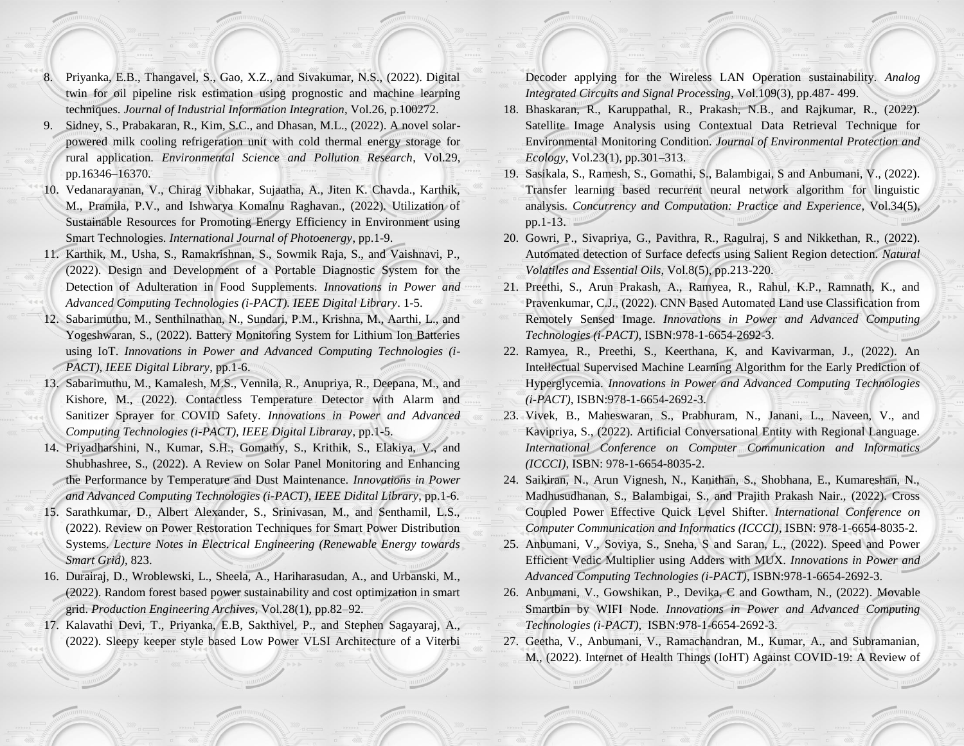- 8. Priyanka, E.B., Thangavel, S., Gao, X.Z., and Sivakumar, N.S., (2022). Digital twin for oil pipeline risk estimation using prognostic and machine learning techniques. *Journal of Industrial Information Integration*, Vol.26, p.100272.
- 9. Sidney, S., Prabakaran, R., Kim, S.C., and Dhasan, M.L., (2022). A novel solarpowered milk cooling refrigeration unit with cold thermal energy storage for rural application. *Environmental Science and Pollution Research*, Vol.29, pp.16346–16370.
- 10. Vedanarayanan, V., Chirag Vibhakar, Sujaatha, A., Jiten K. Chavda., Karthik, M., Pramila, P.V., and Ishwarya Komalnu Raghavan., (2022). Utilization of Sustainable Resources for Promoting Energy Efficiency in Environment using Smart Technologies. *International Journal of Photoenergy*, pp.1-9.
- 11. Karthik, M., Usha, S., Ramakrishnan, S., Sowmik Raja, S., and Vaishnavi, P., (2022). Design and Development of a Portable Diagnostic System for the Detection of Adulteration in Food Supplements. *Innovations in Power and Advanced Computing Technologies (i-PACT). IEEE Digital Library*. 1-5.
- 12. Sabarimuthu, M., Senthilnathan, N., Sundari, P.M., Krishna, M., Aarthi, L., and Yogeshwaran, S., (2022). Battery Monitoring System for Lithium Ion Batteries using IoT. *Innovations in Power and Advanced Computing Technologies (i-PACT), IEEE Digital Library*, pp.1-6.
- 13. Sabarimuthu, M., Kamalesh, M.S., Vennila, R., Anupriya, R., Deepana, M., and Kishore, M., (2022). Contactless Temperature Detector with Alarm and Sanitizer Sprayer for COVID Safety. *Innovations in Power and Advanced Computing Technologies (i-PACT), IEEE Digital Libraray*, pp.1-5.
- 14. Priyadharshini, N., Kumar, S.H., Gomathy, S., Krithik, S., Elakiya, V., and Shubhashree, S., (2022). A Review on Solar Panel Monitoring and Enhancing the Performance by Temperature and Dust Maintenance. *Innovations in Power and Advanced Computing Technologies (i-PACT), IEEE Didital Library*, pp.1-6.
- 15. Sarathkumar, D., Albert Alexander, S., Srinivasan, M., and Senthamil, L.S., (2022). Review on Power Restoration Techniques for Smart Power Distribution Systems. *Lecture Notes in Electrical Engineering (Renewable Energy towards Smart Grid)*, 823.
- 16. Durairaj, D., Wroblewski, L., Sheela, A., Hariharasudan, A., and Urbanski, M., (2022). Random forest based power sustainability and cost optimization in smart grid. *Production Engineering Archives*, Vol.28(1), pp.82–92.
- 17. Kalavathi Devi, T., Priyanka, E.B, Sakthivel, P., and Stephen Sagayaraj, A., (2022). Sleepy keeper style based Low Power VLSI Architecture of a Viterbi

Decoder applying for the Wireless LAN Operation sustainability. *Analog Integrated Circuits and Signal Processing*, Vol.109(3), pp.487- 499.

- 18. Bhaskaran, R., Karuppathal, R., Prakash, N.B., and Rajkumar, R., (2022). Satellite Image Analysis using Contextual Data Retrieval Technique for Environmental Monitoring Condition. *Journal of Environmental Protection and Ecology*, Vol.23(1), pp.301–313.
- 19. Sasikala, S., Ramesh, S., Gomathi, S., Balambigai, S and Anbumani, V., (2022). Transfer learning based recurrent neural network algorithm for linguistic analysis. *Concurrency and Computation: Practice and Experience*, Vol.34(5), pp.1-13.
- 20. Gowri, P., Sivapriya, G., Pavithra, R., Ragulraj, S and Nikkethan, R., (2022). Automated detection of Surface defects using Salient Region detection. *Natural Volatiles and Essential Oils*, Vol.8(5), pp.213-220.
- 21. Preethi, S., Arun Prakash, A., Ramyea, R., Rahul, K.P., Ramnath, K., and Pravenkumar, C.J., (2022). CNN Based Automated Land use Classification from Remotely Sensed Image. *Innovations in Power and Advanced Computing Technologies (i-PACT)*, ISBN:978-1-6654-2692-3.
- 22. Ramyea, R., Preethi, S., Keerthana, K, and Kavivarman, J., (2022). An Intellectual Supervised Machine Learning Algorithm for the Early Prediction of Hyperglycemia. *Innovations in Power and Advanced Computing Technologies (i-PACT)*, ISBN:978-1-6654-2692-3.
- 23. Vivek, B., Maheswaran, S., Prabhuram, N., Janani, L., Naveen, V., and Kavipriya, S., (2022). Artificial Conversational Entity with Regional Language. *International Conference on Computer Communication and Informatics (ICCCI)*, ISBN: 978-1-6654-8035-2.
- 24. Saikiran, N., Arun Vignesh, N., Kanithan, S., Shobhana, E., Kumareshan, N., Madhusudhanan, S., Balambigai, S., and Prajith Prakash Nair., (2022). Cross Coupled Power Effective Quick Level Shifter. *International Conference on Computer Communication and Informatics (ICCCI)*, ISBN: 978-1-6654-8035-2.
- 25. Anbumani, V., Soviya, S., Sneha, S and Saran, L., (2022). Speed and Power Efficient Vedic Multiplier using Adders with MUX. *Innovations in Power and Advanced Computing Technologies (i-PACT)*, ISBN:978-1-6654-2692-3.
- 26. Anbumani, V., Gowshikan, P., Devika, C and Gowtham, N., (2022). Movable Smartbin by WIFI Node. *Innovations in Power and Advanced Computing Technologies (i-PACT)*, ISBN:978-1-6654-2692-3.
- 27. Geetha, V., Anbumani, V., Ramachandran, M., Kumar, A., and Subramanian, M., (2022). Internet of Health Things (IoHT) Against COVID-19: A Review of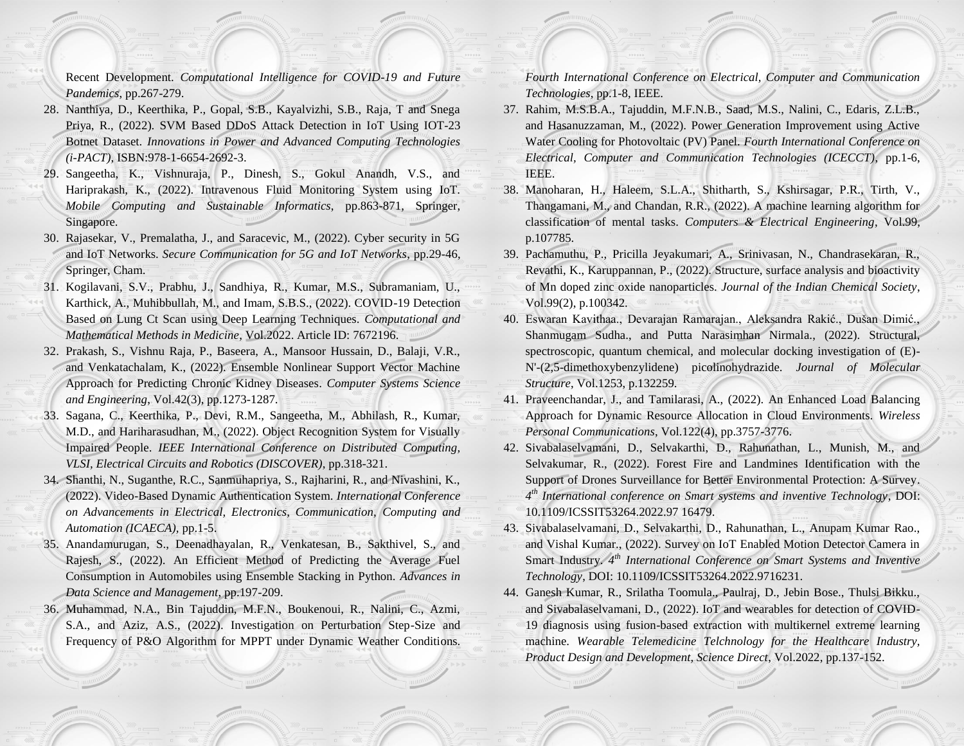Recent Development. *Computational Intelligence for COVID-19 and Future Pandemics*, pp.267-279.

- 28. Nanthiya, D., Keerthika, P., Gopal, S.B., Kayalvizhi, S.B., Raja, T and Snega Priya, R., (2022). SVM Based DDoS Attack Detection in IoT Using IOT-23 Botnet Dataset. *Innovations in Power and Advanced Computing Technologies (i-PACT)*, ISBN:978-1-6654-2692-3.
- 29. Sangeetha, K., Vishnuraja, P., Dinesh, S., Gokul Anandh, V.S., and Hariprakash, K., (2022). Intravenous Fluid Monitoring System using IoT. *Mobile Computing and Sustainable Informatics*, pp.863-871, Springer, Singapore.
- 30. Rajasekar, V., Premalatha, J., and Saracevic, M., (2022). Cyber security in 5G and IoT Networks. *Secure Communication for 5G and IoT Networks*, pp.29-46, Springer, Cham.
- 31. Kogilavani, S.V., Prabhu, J., Sandhiya, R., Kumar, M.S., Subramaniam, U., Karthick, A., Muhibbullah, M., and Imam, S.B.S., (2022). COVID-19 Detection Based on Lung Ct Scan using Deep Learning Techniques. *Computational and Mathematical Methods in Medicine*, Vol.2022. Article ID: 7672196.
- 32. Prakash, S., Vishnu Raja, P., Baseera, A., Mansoor Hussain, D., Balaji, V.R., and Venkatachalam, K., (2022). Ensemble Nonlinear Support Vector Machine Approach for Predicting Chronic Kidney Diseases. *Computer Systems Science and Engineering*, Vol.42(3), pp.1273-1287.
- 33. Sagana, C., Keerthika, P., Devi, R.M., Sangeetha, M., Abhilash, R., Kumar, M.D., and Hariharasudhan, M., (2022). Object Recognition System for Visually Impaired People. *IEEE International Conference on Distributed Computing, VLSI, Electrical Circuits and Robotics (DISCOVER)*, pp.318-321.
- 34. Shanthi, N., Suganthe, R.C., Sanmuhapriya, S., Rajharini, R., and Nivashini, K., (2022). Video-Based Dynamic Authentication System. *International Conference on Advancements in Electrical, Electronics, Communication, Computing and Automation (ICAECA),* pp.1-5.
- 35. Anandamurugan, S., Deenadhayalan, R., Venkatesan, B., Sakthivel, S., and Rajesh, S., (2022). An Efficient Method of Predicting the Average Fuel Consumption in Automobiles using Ensemble Stacking in Python. *Advances in Data Science and Management*, pp.197-209.
- 36. Muhammad, N.A., Bin Tajuddin, M.F.N., Boukenoui, R., Nalini, C., Azmi, S.A., and Aziz, A.S., (2022). Investigation on Perturbation Step-Size and Frequency of P&O Algorithm for MPPT under Dynamic Weather Conditions.

*Fourth International Conference on Electrical, Computer and Communication Technologies*, pp.1-8, IEEE.

- 37. Rahim, M.S.B.A., Tajuddin, M.F.N.B., Saad, M.S., Nalini, C., Edaris, Z.L.B., and Hasanuzzaman, M., (2022). Power Generation Improvement using Active Water Cooling for Photovoltaic (PV) Panel. *Fourth International Conference on Electrical, Computer and Communication Technologies (ICECCT)*, pp.1-6, IEEE.
- 38. Manoharan, H., Haleem, S.L.A., Shitharth, S., Kshirsagar, P.R., Tirth, V., Thangamani, M., and Chandan, R.R., (2022). A machine learning algorithm for classification of mental tasks. *Computers & Electrical Engineering*, Vol.99, p.107785.
- 39. Pachamuthu, P., Pricilla Jeyakumari, A., Srinivasan, N., Chandrasekaran, R., Revathi, K., Karuppannan, P., (2022). Structure, surface analysis and bioactivity of Mn doped zinc oxide nanoparticles. *Journal of the Indian Chemical Society*, Vol.99(2), p.100342.
- 40. Eswaran Kavithaa., Devarajan Ramarajan., Aleksandra Rakić., Dušan Dimić., Shanmugam Sudha., and Putta Narasimhan Nirmala., (2022). Structural, spectroscopic, quantum chemical, and molecular docking investigation of (E)- N'-(2,5-dimethoxybenzylidene) picolinohydrazide. *Journal of Molecular Structure*, Vol.1253, p.132259.
- 41. Praveenchandar, J., and Tamilarasi, A., (2022). An Enhanced Load Balancing Approach for Dynamic Resource Allocation in Cloud Environments. *Wireless Personal Communications*, Vol.122(4), pp.3757-3776.
- 42. Sivabalaselvamani, D., Selvakarthi, D., Rahunathan, L., Munish, M., and Selvakumar, R., (2022). Forest Fire and Landmines Identification with the Support of Drones Surveillance for Better Environmental Protection: A Survey. *4 th International conference on Smart systems and inventive Technology*, DOI: 10.1109/ICSSIT53264.2022.97 16479.
- 43. Sivabalaselvamani, D., Selvakarthi, D., Rahunathan, L., Anupam Kumar Rao., and Vishal Kumar., (2022). Survey on IoT Enabled Motion Detector Camera in Smart Industry. 4<sup>th</sup> International Conference on Smart Systems and Inventive *Technology*, DOI: 10.1109/ICSSIT53264.2022.9716231.
- 44. Ganesh Kumar, R., Srilatha Toomula., Paulraj, D., Jebin Bose., Thulsi Bikku., and Sivabalaselvamani, D., (2022). IoT and wearables for detection of COVID-19 diagnosis using fusion-based extraction with multikernel extreme learning machine. *Wearable Telemedicine Telchnology for the Healthcare Industry, Product Design and Development, Science Direct*, Vol.2022, pp.137-152.